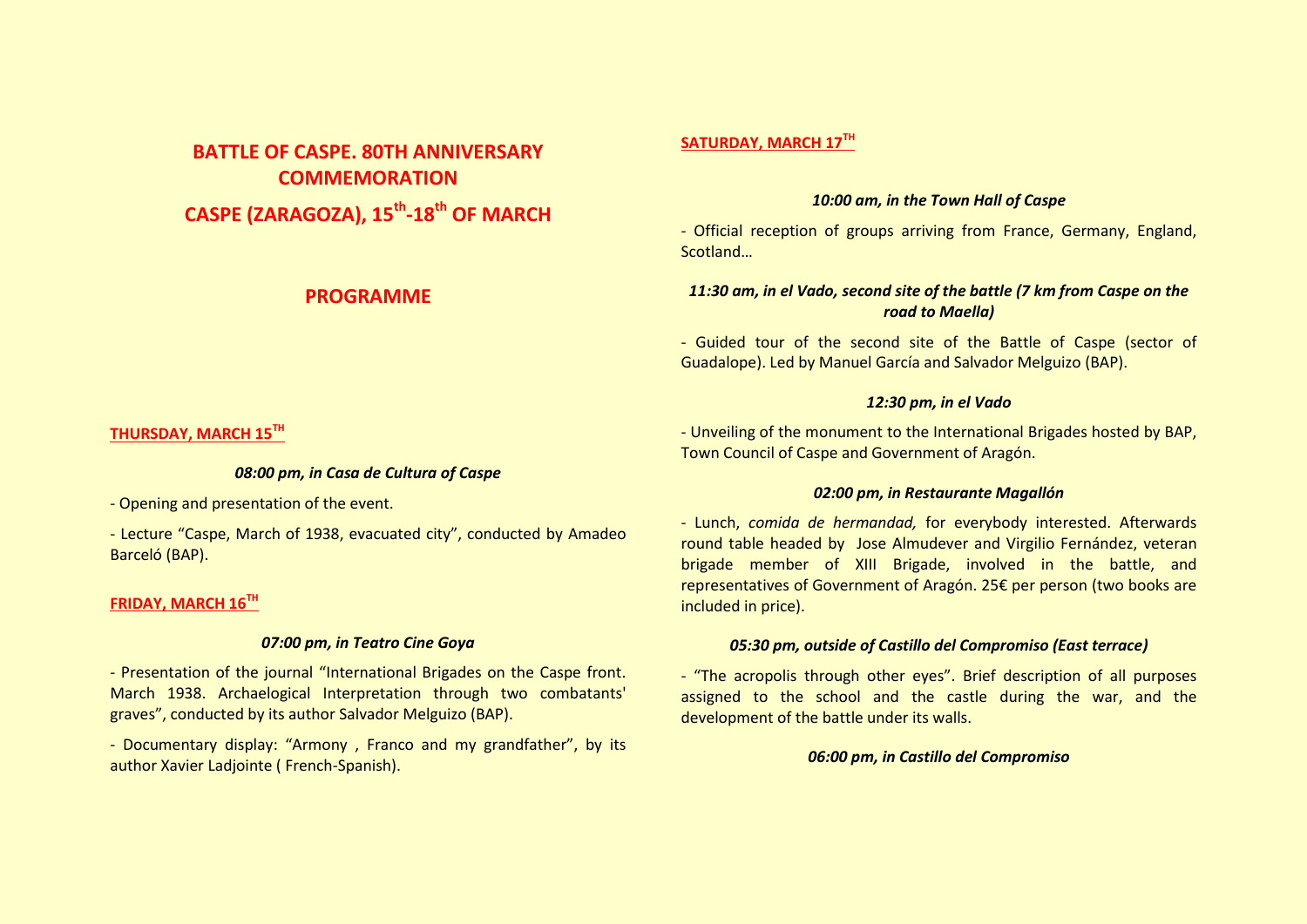# **BATTLE OF CASPE. 80TH ANNIVERSARY COMMEMORATION**

**CASPE (ZARAGOZA), 15th -18th OF MARCH**

# **PROGRAMME**

# **SATURDAY, MARCH 17TH**

#### *10:00 am, in the Town Hall of Caspe*

- Official reception of groups arriving from France, Germany, England, Scotland…

# *11:30 am, in el Vado, second site of the battle (7 km from Caspe on the road to Maella)*

- Guided tour of the second site of the Battle of Caspe (sector of Guadalope). Led by Manuel García and Salvador Melguizo (BAP).

# *12:30 pm, in el Vado*

- Unveiling of the monument to the International Brigades hosted by BAP, Town Council of Caspe and Government of Aragón.

## *02:00 pm, in Restaurante Magallón*

- Lunch, *comida de hermandad,* for everybody interested. Afterwards round table headed by Jose Almudever and Virgilio Fernández, veteran brigade member of XIII Brigade, involved in the battle, and representatives of Government of Aragón. 25€ per person (two books are included in price).

# *05:30 pm, outside of Castillo del Compromiso (East terrace)*

- "The acropolis through other eyes". Brief description of all purposes assigned to the school and the castle during the war, and the development of the battle under its walls.

## *06:00 pm, in Castillo del Compromiso*

## **THURSDAY, MARCH 15TH**

## *08:00 pm, in Casa de Cultura of Caspe*

- Opening and presentation of the event.

- Lecture "Caspe, March of 1938, evacuated city", conducted by Amadeo Barceló (BAP).

# **FRIDAY, MARCH 16TH**

# *07:00 pm, in Teatro Cine Goya*

- Presentation of the journal "International Brigades on the Caspe front. March 1938. Archaelogical Interpretation through two combatants' graves", conducted by its author Salvador Melguizo (BAP).

- Documentary display: "Armony , Franco and my grandfather", by its author Xavier Ladjointe ( French-Spanish).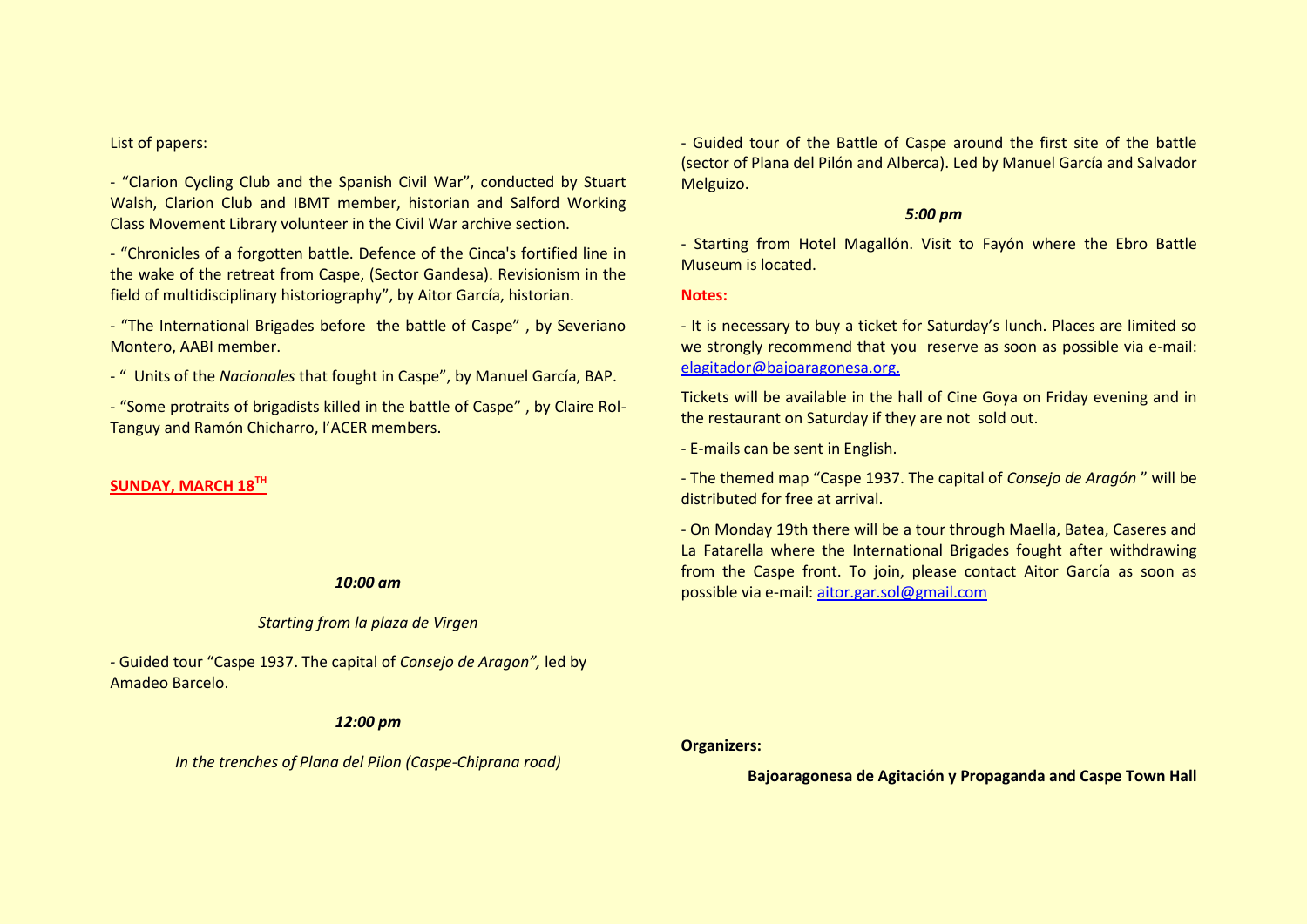#### List of papers:

- "Clarion Cycling Club and the Spanish Civil War", conducted by Stuart Walsh, Clarion Club and IBMT member, historian and Salford Working Class Movement Library volunteer in the Civil War archive section.

- "Chronicles of a forgotten battle. Defence of the Cinca's fortified line in the wake of the retreat from Caspe, (Sector Gandesa). Revisionism in the field of multidisciplinary historiography", by Aitor García, historian.

- "The International Brigades before the battle of Caspe" , by Severiano Montero, AABI member.

- " Units of the *Nacionales* that fought in Caspe", by Manuel García, BAP.

- "Some protraits of brigadists killed in the battle of Caspe" , by Claire Rol-Tanguy and Ramón Chicharro, l'ACER members.

#### **SUNDAY, MARCH 18TH**

#### *10:00 am*

#### *Starting from la plaza de Virgen*

*-* Guided tour "Caspe 1937. The capital of *Consejo de Aragon",* led by Amadeo Barcelo.

#### *12:00 pm*

*In the trenches of Plana del Pilon (Caspe-Chiprana road)*

- Guided tour of the Battle of Caspe around the first site of the battle (sector of Plana del Pilón and Alberca). Led by Manuel García and Salvador Melguizo.

#### *5:00 pm*

- Starting from Hotel Magallón. Visit to Fayón where the Ebro Battle Museum is located.

**Notes:**

- It is necessary to buy a ticket for Saturday's lunch. Places are limited so we strongly recommend that you reserve as soon as possible via e-mail: [elagitador@bajoaragonesa.org.](mailto:elagitador@bajoaragonesa.org)

Tickets will be available in the hall of Cine Goya on Friday evening and in the restaurant on Saturday if they are not sold out.

- E-mails can be sent in English.

- The themed map "Caspe 1937. The capital of *Consejo de Aragón* " will be distributed for free at arrival.

- On Monday 19th there will be a tour through Maella, Batea, Caseres and La Fatarella where the International Brigades fought after withdrawing from the Caspe front. To join, please contact Aitor García as soon as possible via e-mail: [aitor.gar.sol@gmail.com](mailto:aitor.gar.sol@gmail.com)

**Organizers:**

**Bajoaragonesa de Agitación y Propaganda and Caspe Town Hall**